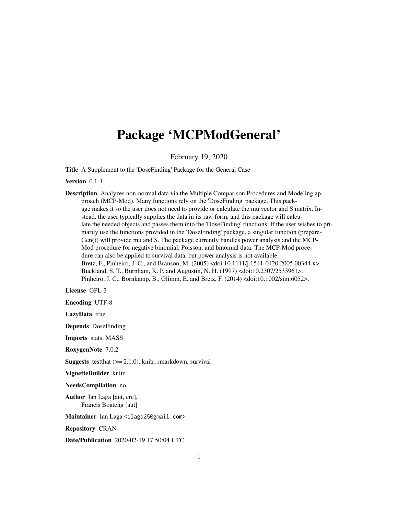## <span id="page-0-0"></span>Package 'MCPModGeneral'

February 19, 2020

Title A Supplement to the 'DoseFinding' Package for the General Case

Version 0.1-1

Description Analyzes non-normal data via the Multiple Comparison Procedures and Modeling approach (MCP-Mod). Many functions rely on the 'DoseFinding' package. This package makes it so the user does not need to provide or calculate the mu vector and S matrix. Instead, the user typically supplies the data in its raw form, and this package will calculate the needed objects and passes them into the 'DoseFinding' functions. If the user wishes to primarily use the functions provided in the 'DoseFinding' package, a singular function (prepare-Gen()) will provide mu and S. The package currently handles power analysis and the MCP-Mod procedure for negative binomial, Poisson, and binomial data. The MCP-Mod procedure can also be applied to survival data, but power analysis is not available. Bretz, F., Pinheiro, J. C., and Branson, M. (2005) <doi:10.1111/j.1541-0420.2005.00344.x>. Buckland, S. T., Burnham, K. P. and Augustin, N. H. (1997) <doi:10.2307/2533961>. Pinheiro, J. C., Bornkamp, B., Glimm, E. and Bretz, F. (2014) <doi:10.1002/sim.6052>.

License GPL-3

Encoding UTF-8

LazyData true

Depends DoseFinding

Imports stats, MASS

RoxygenNote 7.0.2

**Suggests** test that  $(>= 2.1.0)$ , knitr, rmarkdown, survival

VignetteBuilder knitr

NeedsCompilation no

Author Ian Laga [aut, cre], Francis Boateng [aut]

Maintainer Ian Laga <ilaga25@gmail.com>

Repository CRAN

Date/Publication 2020-02-19 17:50:04 UTC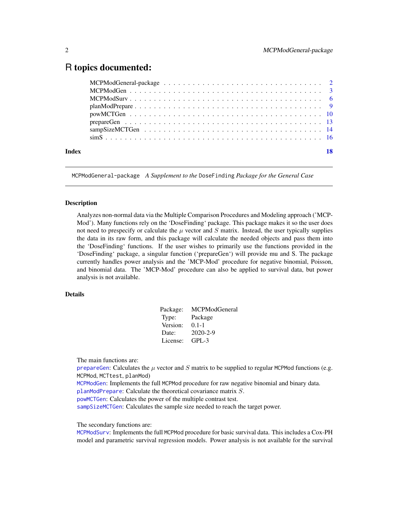## <span id="page-1-0"></span>R topics documented:

| Index | 18 |
|-------|----|

MCPModGeneral-package *A Supplement to the* DoseFinding *Package for the General Case*

#### **Description**

Analyzes non-normal data via the Multiple Comparison Procedures and Modeling approach ('MCP-Mod'). Many functions rely on the 'DoseFinding' package. This package makes it so the user does not need to prespecify or calculate the  $\mu$  vector and S matrix. Instead, the user typically supplies the data in its raw form, and this package will calculate the needed objects and pass them into the 'DoseFinding' functions. If the user wishes to primarily use the functions provided in the 'DoseFinding' package, a singular function ('prepareGen') will provide mu and S. The package currently handles power analysis and the 'MCP-Mod' procedure for negative binomial, Poisson, and binomial data. The 'MCP-Mod' procedure can also be applied to survival data, but power analysis is not available.

#### Details

| MCPModGeneral  |
|----------------|
| Package        |
| $0.1 - 1$      |
| $2020 - 2 - 9$ |
| $GPL-3$        |
|                |

The main functions are:

[prepareGen](#page-12-1): Calculates the  $\mu$  vector and S matrix to be supplied to regular MCPMod functions (e.g. MCPMod, MCTtest, planMod)

[MCPModGen](#page-2-1): Implements the full MCPMod procedure for raw negative binomial and binary data.

[planModPrepare](#page-8-1): Calculate the theoretical covariance matrix S.

[powMCTGen](#page-9-1): Calculates the power of the multiple contrast test.

[sampSizeMCTGen](#page-13-1): Calculates the sample size needed to reach the target power.

The secondary functions are:

[MCPModSurv](#page-5-1): Implements the full MCPMod procedure for basic survival data. This includes a Cox-PH model and parametric survival regression models. Power analysis is not available for the survival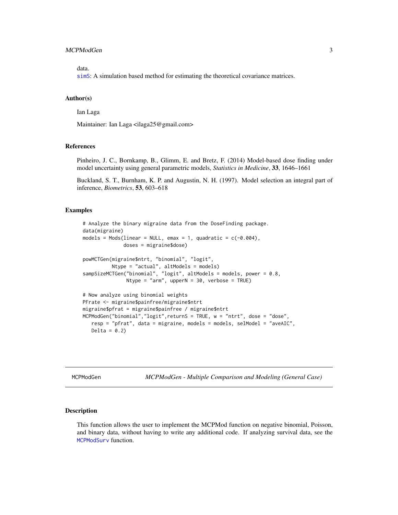#### <span id="page-2-0"></span>MCPModGen 3

data.

[simS](#page-15-1): A simulation based method for estimating the theoretical covariance matrices.

#### Author(s)

Ian Laga

Maintainer: Ian Laga <ilaga25@gmail.com>

#### References

Pinheiro, J. C., Bornkamp, B., Glimm, E. and Bretz, F. (2014) Model-based dose finding under model uncertainty using general parametric models, *Statistics in Medicine*, 33, 1646–1661

Buckland, S. T., Burnham, K. P. and Augustin, N. H. (1997). Model selection an integral part of inference, *Biometrics*, 53, 603–618

#### Examples

```
# Analyze the binary migraine data from the DoseFinding package.
data(migraine)
models = Mods(linear = NULL, emax = 1, quadratic = c(-0.004),
              doses = migraine$dose)
powMCTGen(migraine$ntrt, "binomial", "logit",
          Ntype = "actual", altModels = models)
sampSizeMCTGen("binomial", "logit", altModels = models, power = 0.8,
               Ntype = "arm", upperN = 30, verbose = TRUE)
# Now analyze using binomial weights
PFrate <- migraine$painfree/migraine$ntrt
migraine$pfrat = migraine$painfree / migraine$ntrt
MCPModGen("binomial","logit",returnS = TRUE, w = "ntrt", dose = "dose",
   resp = "pfrat", data = migraine, models = models, selModel = "aveAIC",
   Delta = 0.2)
```
<span id="page-2-1"></span>MCPModGen *MCPModGen - Multiple Comparison and Modeling (General Case)*

#### Description

This function allows the user to implement the MCPMod function on negative binomial, Poisson, and binary data, without having to write any additional code. If analyzing survival data, see the [MCPModSurv](#page-5-1) function.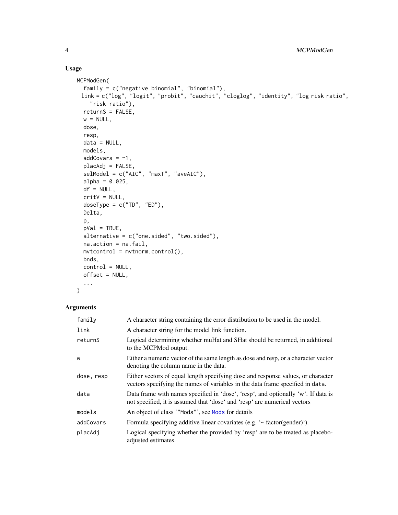#### Usage

```
MCPModGen(
 family = c("negative binomial", "binomial"),
 link = c("log", "logit", "probit", "cauchit", "cloglog", "identity", "log risk ratio",
   "risk ratio"),
 returnS = FALSE,
 w = NULL,dose,
 resp,
 data = NULL,
 models,
 addCovars = -1,
 placAdj = FALSE,selModel = c("AIC", "maxT", "aveAIC"),
 alpha = 0.025,
 df = NULL,critV = NULL,
 doseType = c("TD", "ED"),Delta,
 p,
 pVal = TRUE,alternative = c("one.sided", "two.sided"),
 na.action = na.fail,
 mvtcontrol = mvtnorm.control(),bnds,
 control = NULL,
 offset = NULL,
  ...
)
```

| family     | A character string containing the error distribution to be used in the model.                                                                                      |
|------------|--------------------------------------------------------------------------------------------------------------------------------------------------------------------|
| link       | A character string for the model link function.                                                                                                                    |
| returnS    | Logical determining whether muHat and SHat should be returned, in additional<br>to the MCPMod output.                                                              |
| W          | Either a numeric vector of the same length as dose and resp, or a character vector<br>denoting the column name in the data.                                        |
| dose, resp | Either vectors of equal length specifying dose and response values, or character<br>vectors specifying the names of variables in the data frame specified in data. |
| data       | Data frame with names specified in 'dose', 'resp', and optionally 'w'. If data is<br>not specified, it is assumed that 'dose' and 'resp' are numerical vectors     |
| models     | An object of class "Mods"', see Mods for details                                                                                                                   |
| addCovars  | Formula specifying additive linear covariates (e.g. $\sim$ factor(gender) $\cdot$ ).                                                                               |
| placAdj    | Logical specifying whether the provided by 'resp' are to be treated as placebo-<br>adjusted estimates.                                                             |

<span id="page-3-0"></span>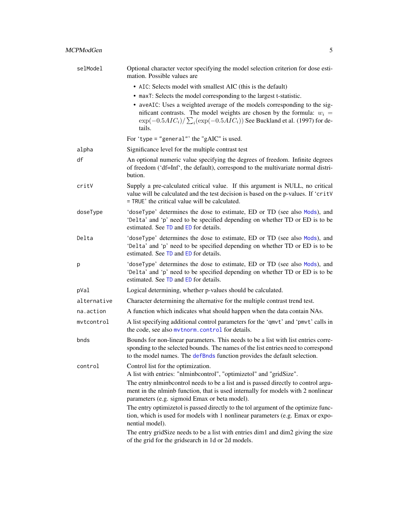<span id="page-4-0"></span>

| selModel    | Optional character vector specifying the model selection criterion for dose esti-<br>mation. Possible values are                                                                                                                                    |
|-------------|-----------------------------------------------------------------------------------------------------------------------------------------------------------------------------------------------------------------------------------------------------|
|             | • AIC: Selects model with smallest AIC (this is the default)                                                                                                                                                                                        |
|             | • maxT: Selects the model corresponding to the largest t-statistic.                                                                                                                                                                                 |
|             | • aveAIC: Uses a weighted average of the models corresponding to the sig-<br>nificant contrasts. The model weights are chosen by the formula: $w_i =$<br>$\exp(-0.5AIC_i)/\sum_i(\exp(-0.5AIC_i))$ See Buckland et al. (1997) for de-<br>tails.     |
|             | For 'type = "general"' the "gAIC" is used.                                                                                                                                                                                                          |
| alpha       | Significance level for the multiple contrast test                                                                                                                                                                                                   |
| df          | An optional numeric value specifying the degrees of freedom. Infinite degrees<br>of freedom ('df=Inf', the default), correspond to the multivariate normal distri-<br>bution.                                                                       |
| critV       | Supply a pre-calculated critical value. If this argument is NULL, no critical<br>value will be calculated and the test decision is based on the p-values. If 'critV<br>= TRUE' the critical value will be calculated.                               |
| doseType    | 'doseType' determines the dose to estimate, ED or TD (see also Mods), and<br>'Delta' and 'p' need to be specified depending on whether TD or ED is to be<br>estimated. See TD and ED for details.                                                   |
| Delta       | 'doseType' determines the dose to estimate, ED or TD (see also Mods), and<br>'Delta' and 'p' need to be specified depending on whether TD or ED is to be<br>estimated. See TD and ED for details.                                                   |
| р           | 'doseType' determines the dose to estimate, ED or TD (see also Mods), and<br>'Delta' and 'p' need to be specified depending on whether TD or ED is to be<br>estimated. See TD and ED for details.                                                   |
| pVal        | Logical determining, whether p-values should be calculated.                                                                                                                                                                                         |
| alternative | Character determining the alternative for the multiple contrast trend test.                                                                                                                                                                         |
| na.action   | A function which indicates what should happen when the data contain NAs.                                                                                                                                                                            |
| mvtcontrol  | A list specifying additional control parameters for the 'qmvt' and 'pmvt' calls in<br>the code, see also mytnorm. control for details.                                                                                                              |
| bnds        | Bounds for non-linear parameters. This needs to be a list with list entries corre-<br>sponding to the selected bounds. The names of the list entries need to correspond<br>to the model names. The defBnds function provides the default selection. |
| control     | Control list for the optimization.<br>A list with entries: "nlminbcontrol", "optimizetol" and "gridSize".                                                                                                                                           |
|             | The entry niminbcontrol needs to be a list and is passed directly to control argu-<br>ment in the nlminb function, that is used internally for models with 2 nonlinear<br>parameters (e.g. sigmoid Emax or beta model).                             |
|             | The entry optimizetol is passed directly to the tol argument of the optimize func-<br>tion, which is used for models with 1 nonlinear parameters (e.g. Emax or expo-<br>nential model).                                                             |
|             | The entry gridSize needs to be a list with entries dim1 and dim2 giving the size<br>of the grid for the gridsearch in 1d or 2d models.                                                                                                              |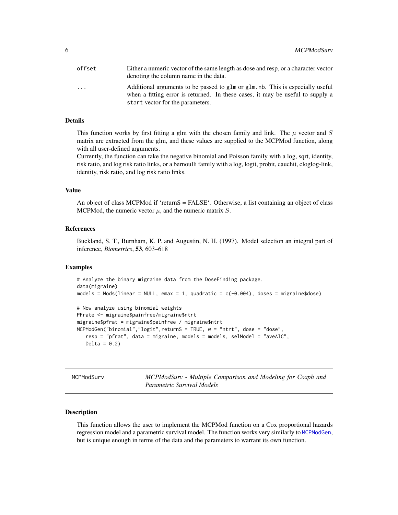<span id="page-5-0"></span>

| offset | Either a numeric vector of the same length as dose and resp, or a character vector<br>denoting the column name in the data.                                                                          |
|--------|------------------------------------------------------------------------------------------------------------------------------------------------------------------------------------------------------|
| .      | Additional arguments to be passed to glm or glm. nb. This is especially useful<br>when a fitting error is returned. In these cases, it may be useful to supply a<br>start vector for the parameters. |

#### Details

This function works by first fitting a glm with the chosen family and link. The  $\mu$  vector and S matrix are extracted from the glm, and these values are supplied to the MCPMod function, along with all user-defined arguments.

Currently, the function can take the negative binomial and Poisson family with a log, sqrt, identity, risk ratio, and log risk ratio links, or a bernoulli family with a log, logit, probit, cauchit, cloglog-link, identity, risk ratio, and log risk ratio links.

#### Value

An object of class MCPMod if 'returnS = FALSE'. Otherwise, a list containing an object of class MCPMod, the numeric vector  $\mu$ , and the numeric matrix  $S$ .

#### References

Buckland, S. T., Burnham, K. P. and Augustin, N. H. (1997). Model selection an integral part of inference, *Biometrics*, 53, 603–618

#### Examples

```
# Analyze the binary migraine data from the DoseFinding package.
data(migraine)
models = Mods(linear = NULL, emax = 1, quadratic = c(-0.004), doses = migraine$dose)
# Now analyze using binomial weights
PFrate <- migraine$painfree/migraine$ntrt
migraine$pfrat = migraine$painfree / migraine$ntrt
MCPModGen("binomial","logit",returnS = TRUE, w = "ntrt", dose = "dose",
   resp = "pfrat", data = migraine, models = models, selModel = "aveAIC",
  Delta = 0.2)
```
<span id="page-5-1"></span>MCPModSurv *MCPModSurv - Multiple Comparison and Modeling for Coxph and Parametric Survival Models*

#### Description

This function allows the user to implement the MCPMod function on a Cox proportional hazards regression model and a parametric survival model. The function works very similarly to [MCPModGen](#page-2-1), but is unique enough in terms of the data and the parameters to warrant its own function.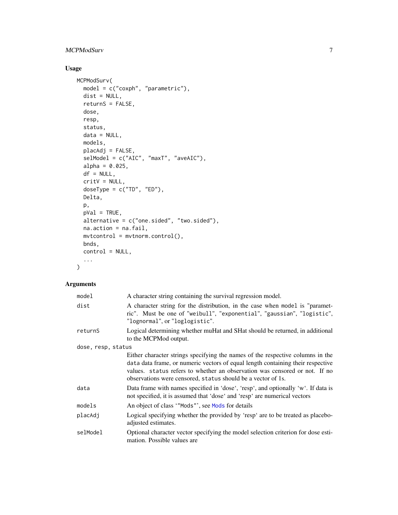### <span id="page-6-0"></span>MCPModSurv 7

### Usage

```
MCPModSurv(
 model = c("coxph", "parametric"),
 dist = NULL,returnS = FALSE,
 dose,
 resp,
 status,
 data = NULL,
 models,
 placAdj = FALSE,
 selModel = c("AIC", "maxT", "aveAIC"),
 alpha = 0.025,
 df = NULL,critV = NULL,doseType = c("TD", "ED"),
 Delta,
 p,
 pVal = TRUE,alternative = c("one.sided", "two.sided"),
 na.action = na.fail,
 mvtcontrol = mvtnorm.control(),
 bnds,
 control = NULL,
  ...
)
```

| model              | A character string containing the survival regression model.                                                                                                                                                                                                                                                    |
|--------------------|-----------------------------------------------------------------------------------------------------------------------------------------------------------------------------------------------------------------------------------------------------------------------------------------------------------------|
| dist               | A character string for the distribution, in the case when model is "paramet-<br>ric". Must be one of "weibull", "exponential", "gaussian", "logistic",<br>"lognormal", or "loglogistic".                                                                                                                        |
| returnS            | Logical determining whether muHat and SHat should be returned, in additional<br>to the MCPMod output.                                                                                                                                                                                                           |
| dose, resp, status |                                                                                                                                                                                                                                                                                                                 |
|                    | Either character strings specifying the names of the respective columns in the<br>data data frame, or numeric vectors of equal length containing their respective<br>values. status refers to whether an observation was censored or not. If no<br>observations were censored, status should be a vector of 1s. |
| data               | Data frame with names specified in 'dose', 'resp', and optionally 'w'. If data is<br>not specified, it is assumed that 'dose' and 'resp' are numerical vectors                                                                                                                                                  |
| models             | An object of class "Mods", see Mods for details                                                                                                                                                                                                                                                                 |
| placAdj            | Logical specifying whether the provided by 'resp' are to be treated as placebo-<br>adjusted estimates.                                                                                                                                                                                                          |
| selModel           | Optional character vector specifying the model selection criterion for dose esti-<br>mation. Possible values are                                                                                                                                                                                                |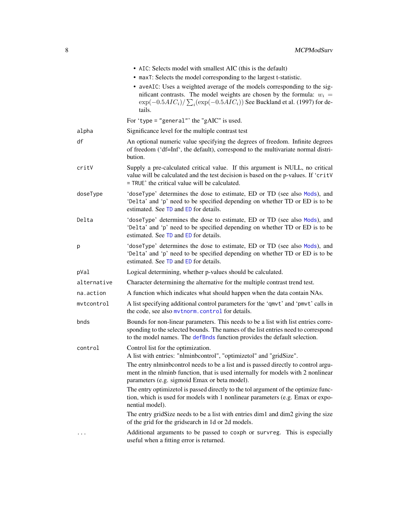<span id="page-7-0"></span>

|             | • AIC: Selects model with smallest AIC (this is the default)                                                                                                                                                                                        |
|-------------|-----------------------------------------------------------------------------------------------------------------------------------------------------------------------------------------------------------------------------------------------------|
|             | • maxT: Selects the model corresponding to the largest t-statistic.                                                                                                                                                                                 |
|             | • aveAIC: Uses a weighted average of the models corresponding to the sig-<br>nificant contrasts. The model weights are chosen by the formula: $w_i =$<br>$\exp(-0.5AIC_i)/\sum_i(\exp(-0.5AIC_i))$ See Buckland et al. (1997) for de-<br>tails.     |
|             | For 'type = "general"' the "gAIC" is used.                                                                                                                                                                                                          |
| alpha       | Significance level for the multiple contrast test                                                                                                                                                                                                   |
| df          | An optional numeric value specifying the degrees of freedom. Infinite degrees<br>of freedom ('df=Inf', the default), correspond to the multivariate normal distri-<br>bution.                                                                       |
| critV       | Supply a pre-calculated critical value. If this argument is NULL, no critical<br>value will be calculated and the test decision is based on the p-values. If 'critV<br>= TRUE' the critical value will be calculated.                               |
| doseType    | 'doseType' determines the dose to estimate, ED or TD (see also Mods), and<br>'Delta' and 'p' need to be specified depending on whether TD or ED is to be<br>estimated. See TD and ED for details.                                                   |
| Delta       | 'doseType' determines the dose to estimate, ED or TD (see also Mods), and<br>'Delta' and 'p' need to be specified depending on whether TD or ED is to be<br>estimated. See TD and ED for details.                                                   |
| р           | 'doseType' determines the dose to estimate, ED or TD (see also Mods), and<br>'Delta' and 'p' need to be specified depending on whether TD or ED is to be<br>estimated. See TD and ED for details.                                                   |
| pVal        | Logical determining, whether p-values should be calculated.                                                                                                                                                                                         |
| alternative | Character determining the alternative for the multiple contrast trend test.                                                                                                                                                                         |
| na.action   | A function which indicates what should happen when the data contain NAs.                                                                                                                                                                            |
| mvtcontrol  | A list specifying additional control parameters for the 'qmvt' and 'pmvt' calls in<br>the code, see also mythorm.control for details.                                                                                                               |
| bnds        | Bounds for non-linear parameters. This needs to be a list with list entries corre-<br>sponding to the selected bounds. The names of the list entries need to correspond<br>to the model names. The defBnds function provides the default selection. |
| control     | Control list for the optimization.<br>A list with entries: "nlminbcontrol", "optimizetol" and "gridSize".                                                                                                                                           |
|             | The entry niminbcontrol needs to be a list and is passed directly to control argu-<br>ment in the nlminb function, that is used internally for models with 2 nonlinear<br>parameters (e.g. sigmoid Emax or beta model).                             |
|             | The entry optimizetol is passed directly to the tol argument of the optimize func-<br>tion, which is used for models with 1 nonlinear parameters (e.g. Emax or expo-<br>nential model).                                                             |
|             | The entry gridSize needs to be a list with entries dim1 and dim2 giving the size<br>of the grid for the gridsearch in 1d or 2d models.                                                                                                              |
|             | Additional arguments to be passed to coxph or survreg. This is especially<br>useful when a fitting error is returned.                                                                                                                               |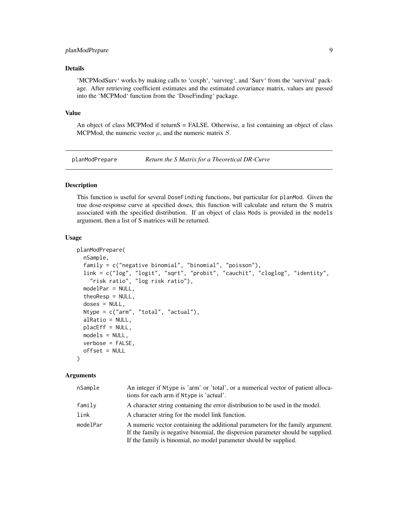#### <span id="page-8-0"></span>planModPrepare 9

#### Details

'MCPModSurv' works by making calls to 'coxph', 'survreg', and 'Surv' from the 'survival' package. After retrieving coefficient estimates and the estimated covariance matrix, values are passed into the 'MCPMod' function from the 'DoseFinding' package.

#### Value

An object of class MCPMod if returnS = FALSE. Otherwise, a list containing an object of class MCPMod, the numeric vector  $\mu$ , and the numeric matrix S.

<span id="page-8-1"></span>

planModPrepare *Return the S Matrix for a Theoretical DR-Curve*

#### Description

This function is useful for several DoseFinding functions, but particular for planMod. Given the true dose-response curve at specified doses, this function will calculate and return the S matrix associated with the specified distribution. If an object of class Mods is provided in the models argument, then a list of S matrices will be returned.

#### Usage

```
planModPrepare(
  nSample,
  family = c("negative binomial", "binomial", "poisson"),
  link = c("log", "logit", "sqrt", "probit", "cauchit", "cloglog", "identity",
    "risk ratio", "log risk ratio"),
  modelPar = NULL,
  theoResp = NULL,
  doses = NULL,
 Ntype = c("arm", "total", "actual"),
  alRatio = NULL,
 placeff = NULL,models = NULL,
  verbose = FALSE,
  offset = NULL\mathcal{L}
```

| nSample  | An integer if Ntype is 'arm' or 'total', or a numerical vector of patient alloca-<br>tions for each arm if Ntype is 'actual'.                                                                                                           |
|----------|-----------------------------------------------------------------------------------------------------------------------------------------------------------------------------------------------------------------------------------------|
| family   | A character string containing the error distribution to be used in the model.                                                                                                                                                           |
| link     | A character string for the model link function.                                                                                                                                                                                         |
| modelPar | A numeric vector containing the additional parameters for the family argument.<br>If the family is negative binomial, the dispersion parameter should be supplied.<br>If the family is binomial, no model parameter should be supplied. |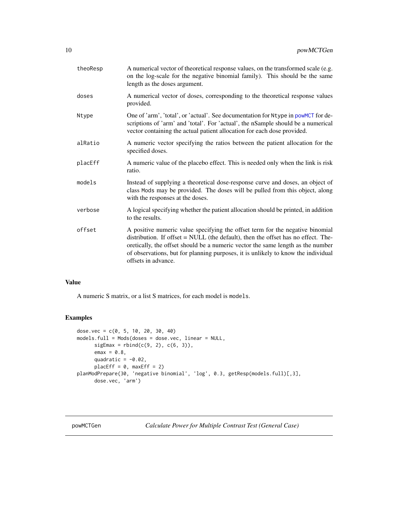<span id="page-9-0"></span>

| theoResp | A numerical vector of theoretical response values, on the transformed scale (e.g.<br>on the log-scale for the negative binomial family). This should be the same<br>length as the doses argument.                                                                                                                                                                 |
|----------|-------------------------------------------------------------------------------------------------------------------------------------------------------------------------------------------------------------------------------------------------------------------------------------------------------------------------------------------------------------------|
| doses    | A numerical vector of doses, corresponding to the theoretical response values<br>provided.                                                                                                                                                                                                                                                                        |
| Ntype    | One of 'arm', 'total', or 'actual'. See documentation for Ntype in powmers for de-<br>scriptions of 'arm' and 'total'. For 'actual', the nSample should be a numerical<br>vector containing the actual patient allocation for each dose provided.                                                                                                                 |
| alRatio  | A numeric vector specifying the ratios between the patient allocation for the<br>specified doses.                                                                                                                                                                                                                                                                 |
| placEff  | A numeric value of the placebo effect. This is needed only when the link is risk<br>ratio.                                                                                                                                                                                                                                                                        |
| models   | Instead of supplying a theoretical dose-response curve and doses, an object of<br>class Mods may be provided. The doses will be pulled from this object, along<br>with the responses at the doses.                                                                                                                                                                |
| verbose  | A logical specifying whether the patient allocation should be printed, in addition<br>to the results.                                                                                                                                                                                                                                                             |
| offset   | A positive numeric value specifying the offset term for the negative binomial<br>distribution. If offset = NULL (the default), then the offset has no effect. The-<br>oretically, the offset should be a numeric vector the same length as the number<br>of observations, but for planning purposes, it is unlikely to know the individual<br>offsets in advance. |

#### Value

A numeric S matrix, or a list S matrices, for each model is models.

#### Examples

```
dose.vec = c(0, 5, 10, 20, 30, 40)models.full = Mods(doses = dose.vec, linear = NULL,
      sigEmax = rbind(c(9, 2), c(6, 3)),emax = 0.8,
     quadratic = -0.02,
      placeff = 0, maxEff = 2)planModPrepare(30, 'negative binomial', 'log', 0.3, getResp(models.full)[,3],
      dose.vec, 'arm')
```
<span id="page-9-1"></span>powMCTGen *Calculate Power for Multiple Contrast Test (General Case)*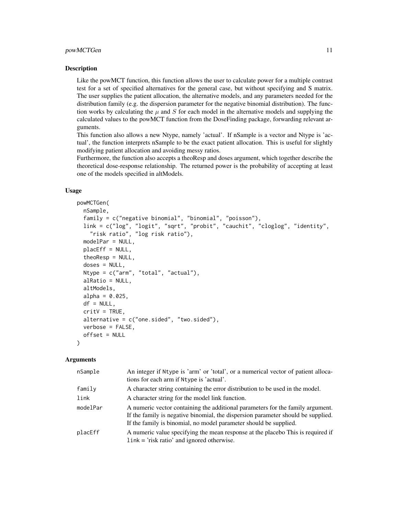#### Description

Like the powMCT function, this function allows the user to calculate power for a multiple contrast test for a set of specified alternatives for the general case, but without specifying and S matrix. The user supplies the patient allocation, the alternative models, and any parameters needed for the distribution family (e.g. the dispersion parameter for the negative binomial distribution). The function works by calculating the  $\mu$  and S for each model in the alternative models and supplying the calculated values to the powMCT function from the DoseFinding package, forwarding relevant arguments.

This function also allows a new Ntype, namely 'actual'. If nSample is a vector and Ntype is 'actual', the function interprets nSample to be the exact patient allocation. This is useful for slightly modifying patient allocation and avoiding messy ratios.

Furthermore, the function also accepts a theoResp and doses argument, which together describe the theoretical dose-response relationship. The returned power is the probability of accepting at least one of the models specified in altModels.

#### Usage

```
powMCTGen(
 nSample,
  family = c("negative binomial", "binomial", "poisson"),
 link = c("log", "logit", "sqrt", "probit", "cauchit", "cloglog", "identity",
    "risk ratio", "log risk ratio"),
  modelPar = NULL,
 placEff = NULL,
  theoResp = NULL,
  doses = NULL,
  Ntype = c("arm", "total", "actual"),
  alRatio = NULL,
  altModels,
  alpha = 0.025,
  df = NULL,critV = TRUE,alternative = c("one.sided", "two.sided"),
  verbose = FALSE,
  offset = NULL
)
```

| nSample  | An integer if Ntype is 'arm' or 'total', or a numerical vector of patient alloca-<br>tions for each arm if Ntype is 'actual'.                                                                                                           |
|----------|-----------------------------------------------------------------------------------------------------------------------------------------------------------------------------------------------------------------------------------------|
| family   | A character string containing the error distribution to be used in the model.                                                                                                                                                           |
| link     | A character string for the model link function.                                                                                                                                                                                         |
| modelPar | A numeric vector containing the additional parameters for the family argument.<br>If the family is negative binomial, the dispersion parameter should be supplied.<br>If the family is binomial, no model parameter should be supplied. |
| placEff  | A numeric value specifying the mean response at the placebo This is required if<br>$\text{link} = \text{'risk ratio'}$ and ignored otherwise.                                                                                           |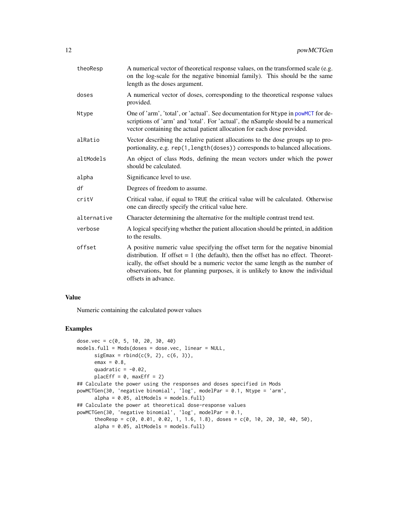<span id="page-11-0"></span>

| theoResp    | A numerical vector of theoretical response values, on the transformed scale (e.g.<br>on the log-scale for the negative binomial family). This should be the same<br>length as the doses argument.                                                                                                                                                                |
|-------------|------------------------------------------------------------------------------------------------------------------------------------------------------------------------------------------------------------------------------------------------------------------------------------------------------------------------------------------------------------------|
| doses       | A numerical vector of doses, corresponding to the theoretical response values<br>provided.                                                                                                                                                                                                                                                                       |
| Ntype       | One of 'arm', 'total', or 'actual'. See documentation for Ntype in powMCT for de-<br>scriptions of 'arm' and 'total'. For 'actual', the nSample should be a numerical<br>vector containing the actual patient allocation for each dose provided.                                                                                                                 |
| alRatio     | Vector describing the relative patient allocations to the dose groups up to pro-<br>portionality, e.g. rep(1, length(doses)) corresponds to balanced allocations.                                                                                                                                                                                                |
| altModels   | An object of class Mods, defining the mean vectors under which the power<br>should be calculated.                                                                                                                                                                                                                                                                |
| alpha       | Significance level to use.                                                                                                                                                                                                                                                                                                                                       |
| df          | Degrees of freedom to assume.                                                                                                                                                                                                                                                                                                                                    |
| critV       | Critical value, if equal to TRUE the critical value will be calculated. Otherwise<br>one can directly specify the critical value here.                                                                                                                                                                                                                           |
| alternative | Character determining the alternative for the multiple contrast trend test.                                                                                                                                                                                                                                                                                      |
| verbose     | A logical specifying whether the patient allocation should be printed, in addition<br>to the results.                                                                                                                                                                                                                                                            |
| offset      | A positive numeric value specifying the offset term for the negative binomial<br>distribution. If offset $= 1$ (the default), then the offset has no effect. Theoret-<br>ically, the offset should be a numeric vector the same length as the number of<br>observations, but for planning purposes, it is unlikely to know the individual<br>offsets in advance. |

#### Value

Numeric containing the calculated power values

#### Examples

```
dose.vec = c(0, 5, 10, 20, 30, 40)models.full = Mods(doses = dose.vec, linear = NULL,
      sigEmax = rbind(c(9, 2), c(6, 3)),emax = 0.8,
      quadratic = -0.02,
      placeff = 0, maxEff = 2)## Calculate the power using the responses and doses specified in Mods
powMCTGen(30, 'negative binomial', 'log', modelPar = 0.1, Ntype = 'arm',
      alpha = 0.05, altModels = models.full)
## Calculate the power at theoretical dose-response values
powMCTGen(30, 'negative binomial', 'log', modelPar = 0.1,
      theoResp = c(0, 0.01, 0.02, 1, 1.6, 1.8), doses = c(0, 10, 20, 30, 40, 50),
      alpha = 0.05, altModels = models.full)
```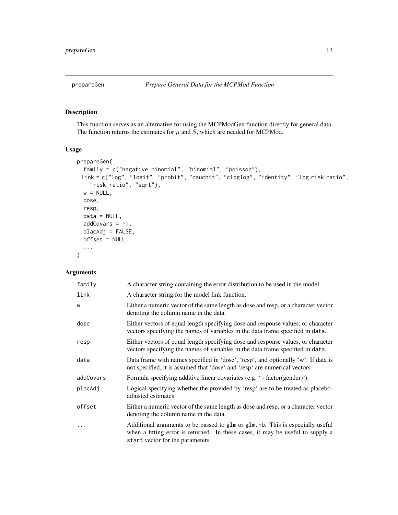#### <span id="page-12-1"></span><span id="page-12-0"></span>Description

This function serves as an alternative for using the MCPModGen function directly for general data. The function returns the estimates for  $\mu$  and  $S$ , which are needed for MCPMod.

#### Usage

```
prepareGen(
  family = c("negative binomial", "binomial", "poisson"),
 link = c("log", "logit", "probit", "cauchit", "cloglog", "identity", "log risk ratio",
    "risk ratio", "sqrt"),
 w = NULL,dose,
  resp,
  data = NULL,addCovars = -1,
 placAdj = FALSE,
 offset = NULL,
  ...
)
```

| family    | A character string containing the error distribution to be used in the model.                                                                                                                        |
|-----------|------------------------------------------------------------------------------------------------------------------------------------------------------------------------------------------------------|
| link      | A character string for the model link function.                                                                                                                                                      |
| W         | Either a numeric vector of the same length as dose and resp, or a character vector<br>denoting the column name in the data.                                                                          |
| dose      | Either vectors of equal length specifying dose and response values, or character<br>vectors specifying the names of variables in the data frame specified in data.                                   |
| resp      | Either vectors of equal length specifying dose and response values, or character<br>vectors specifying the names of variables in the data frame specified in data.                                   |
| data      | Data frame with names specified in 'dose', 'resp', and optionally 'w'. If data is<br>not specified, it is assumed that 'dose' and 'resp' are numerical vectors                                       |
| addCovars | Formula specifying additive linear covariates (e.g. '~ factor(gender)').                                                                                                                             |
| placAdj   | Logical specifying whether the provided by 'resp' are to be treated as placebo-<br>adjusted estimates.                                                                                               |
| offset    | Either a numeric vector of the same length as dose and resp, or a character vector<br>denoting the column name in the data.                                                                          |
| .         | Additional arguments to be passed to glm or glm. nb. This is especially useful<br>when a fitting error is returned. In these cases, it may be useful to supply a<br>start vector for the parameters. |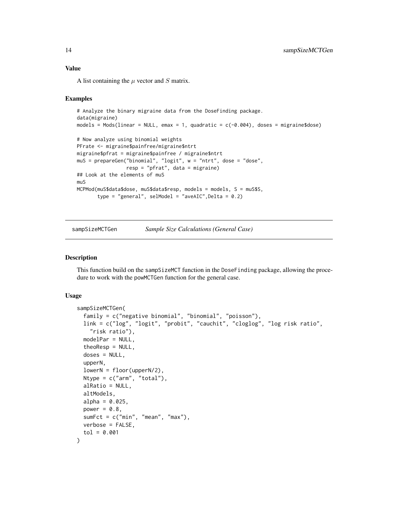#### Value

A list containing the  $\mu$  vector and  $S$  matrix.

#### Examples

```
# Analyze the binary migraine data from the DoseFinding package.
data(migraine)
models = Mods(linear = NULL, emax = 1, quadratic = c(-0.004), doses = migraine$dose)
# Now analyze using binomial weights
PFrate <- migraine$painfree/migraine$ntrt
migraine$pfrat = migraine$painfree / migraine$ntrt
muS = prepareGen("binomial", "logit", w = "ntrt", dose = "dose",
                 resp = "pfrat", data = migraine)
## Look at the elements of muS
muS
MCPMod(muS$data$dose, muS$data$resp, models = models, S = muS$S,
       type = "general", selModel = "aveAIC", Delta = 0.2)
```
<span id="page-13-1"></span>sampSizeMCTGen *Sample Size Calculations (General Case)*

#### Description

This function build on the sampSizeMCT function in the DoseFinding package, allowing the procedure to work with the powMCTGen function for the general case.

#### Usage

```
sampSizeMCTGen(
  family = c("negative binomial", "binomial", "poisson"),
  link = c("log", "logit", "probit", "cauchit", "cloglog", "log risk ratio",
    "risk ratio"),
  modelPar = NULL,
  theoResp = NULL,
  doses = NULL,upperN,
  lowerN = floor(upperN/2),
 Ntype = c("arm", "total"),alRatio = NULL,
  altModels,
  alpha = 0.025,
 power = 0.8,
  sumFct = c("min", "mean", "max"),
 verbose = FALSE,
  tol = 0.001
)
```
<span id="page-13-0"></span>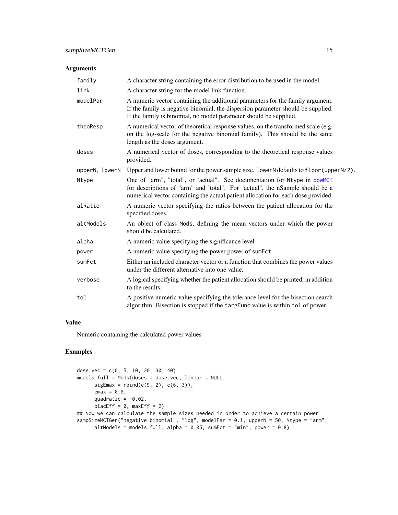#### <span id="page-14-0"></span>Arguments

| family         | A character string containing the error distribution to be used in the model.                                                                                                                                                                  |
|----------------|------------------------------------------------------------------------------------------------------------------------------------------------------------------------------------------------------------------------------------------------|
| link           | A character string for the model link function.                                                                                                                                                                                                |
| modelPar       | A numeric vector containing the additional parameters for the family argument.<br>If the family is negative binomial, the dispersion parameter should be supplied.<br>If the family is binomial, no model parameter should be supplied.        |
| theoResp       | A numerical vector of theoretical response values, on the transformed scale (e.g.<br>on the log-scale for the negative binomial family). This should be the same<br>length as the doses argument.                                              |
| doses          | A numerical vector of doses, corresponding to the theoretical response values<br>provided.                                                                                                                                                     |
| upperN, lowerN | Upper and lower bound for the power sample size. lowerN defaults to floor (upperN/2).                                                                                                                                                          |
| Ntype          | One of "arm", "total", or 'actual". See documentation for Ntype in powMCT<br>for descriptions of "arm" and 'total". For "actual", the nSample should be a<br>numerical vector containing the actual patient allocation for each dose provided. |
| alRatio        | A numeric vector specifying the ratios between the patient allocation for the<br>specified doses.                                                                                                                                              |
| altModels      | An object of class Mods, defining the mean vectors under which the power<br>should be calculated.                                                                                                                                              |
| alpha          | A numeric value specifying the significance level                                                                                                                                                                                              |
| power          | A numeric value specifying the power power of sumFct                                                                                                                                                                                           |
| sumFct         | Either an included character vector or a function that combines the power values<br>under the different alternative into one value.                                                                                                            |
| verbose        | A logical specifying whether the patient allocation should be printed, in addition<br>to the results.                                                                                                                                          |
| tol            | A positive numeric value specifying the tolerance level for the bisection search<br>algorithm. Bisection is stopped if the targFunc value is within tol of power.                                                                              |

#### Value

Numeric containing the calculated power values

#### Examples

```
dose.vec = c(0, 5, 10, 20, 30, 40)
models.full = Mods(doses = dose.vec, linear = NULL,
      sigEmax = rbind(c(9, 2), c(6, 3)),emax = 0.8,
      quadratic = -0.02,
      placeff = 0, maxEff = 2)## Now we can calculate the sample sizes needed in order to achieve a certain power
sampSizeMCTGen("negative binomial", "log", modelPar = 0.1, upperN = 50, Ntype = "arm",
      altModels = models.full, alpha = 0.05, sumFct = "min", power = 0.8)
```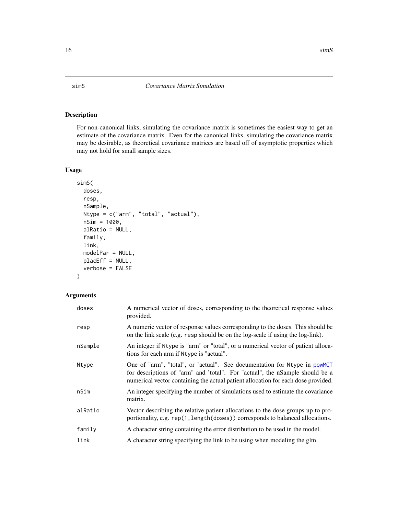#### <span id="page-15-1"></span><span id="page-15-0"></span>Description

For non-canonical links, simulating the covariance matrix is sometimes the easiest way to get an estimate of the covariance matrix. Even for the canonical links, simulating the covariance matrix may be desirable, as theoretical covariance matrices are based off of asymptotic properties which may not hold for small sample sizes.

#### Usage

```
simS(
  doses,
  resp,
  nSample,
 Ntype = c("arm", "total", "actual"),
  nSim = 1000,
  alRatio = NULL,
  family,
  link,
 modelPar = NULL,
 placEff = NULL,
  verbose = FALSE
)
```

| doses   | A numerical vector of doses, corresponding to the theoretical response values<br>provided.                                                                                                                                                     |
|---------|------------------------------------------------------------------------------------------------------------------------------------------------------------------------------------------------------------------------------------------------|
| resp    | A numeric vector of response values corresponding to the doses. This should be<br>on the link scale (e.g. resp should be on the log-scale if using the log-link).                                                                              |
| nSample | An integer if Ntype is "arm" or "total", or a numerical vector of patient alloca-<br>tions for each arm if Ntype is "actual".                                                                                                                  |
| Ntype   | One of "arm", "total", or 'actual". See documentation for Ntype in powMCT<br>for descriptions of "arm" and 'total". For "actual", the nSample should be a<br>numerical vector containing the actual patient allocation for each dose provided. |
| nSim    | An integer specifying the number of simulations used to estimate the covariance<br>matrix.                                                                                                                                                     |
| alRatio | Vector describing the relative patient allocations to the dose groups up to pro-<br>portionality, e.g. rep(1, length(doses)) corresponds to balanced allocations.                                                                              |
| family  | A character string containing the error distribution to be used in the model.                                                                                                                                                                  |
| link    | A character string specifying the link to be using when modeling the glm.                                                                                                                                                                      |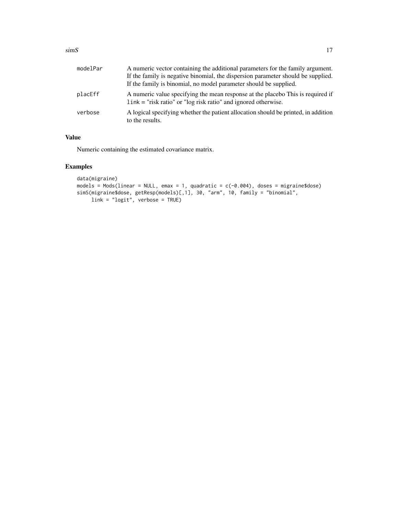#### $\sin S$  17

| modelPar | A numeric vector containing the additional parameters for the family argument.<br>If the family is negative binomial, the dispersion parameter should be supplied. |
|----------|--------------------------------------------------------------------------------------------------------------------------------------------------------------------|
|          | If the family is binomial, no model parameter should be supplied.                                                                                                  |
| placEff  | A numeric value specifying the mean response at the placebo This is required if<br>$link = "risk ratio"$ or "log risk ratio" and ignored otherwise.                |
| verbose  | A logical specifying whether the patient allocation should be printed, in addition<br>to the results.                                                              |

#### Value

Numeric containing the estimated covariance matrix.

### Examples

```
data(migraine)
models = Mods(linear = NULL, emax = 1, quadratic = c(-0.004), doses = migraine$dose)
simS(migraine$dose, getResp(models)[,1], 30, "arm", 10, family = "binomial",
    link = "logit", verbose = TRUE)
```